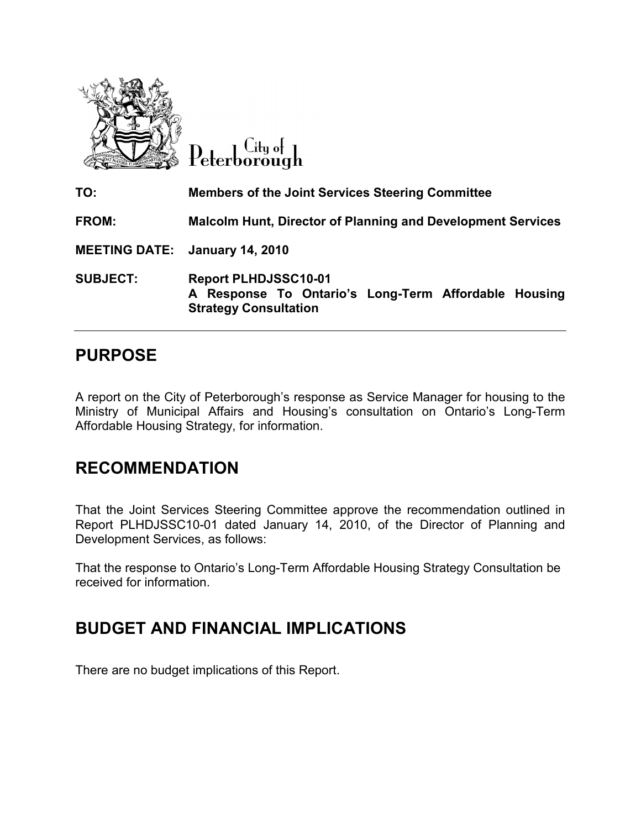

Peterborough

| TO:             | <b>Members of the Joint Services Steering Committee</b>                                                             |
|-----------------|---------------------------------------------------------------------------------------------------------------------|
| <b>FROM:</b>    | <b>Malcolm Hunt, Director of Planning and Development Services</b>                                                  |
|                 | <b>MEETING DATE: January 14, 2010</b>                                                                               |
| <b>SUBJECT:</b> | <b>Report PLHDJSSC10-01</b><br>A Response To Ontario's Long-Term Affordable Housing<br><b>Strategy Consultation</b> |

# PURPOSE

A report on the City of Peterborough's response as Service Manager for housing to the Ministry of Municipal Affairs and Housing's consultation on Ontario's Long-Term Affordable Housing Strategy, for information.

## RECOMMENDATION

That the Joint Services Steering Committee approve the recommendation outlined in Report PLHDJSSC10-01 dated January 14, 2010, of the Director of Planning and Development Services, as follows:

That the response to Ontario's Long-Term Affordable Housing Strategy Consultation be received for information.

# BUDGET AND FINANCIAL IMPLICATIONS

There are no budget implications of this Report.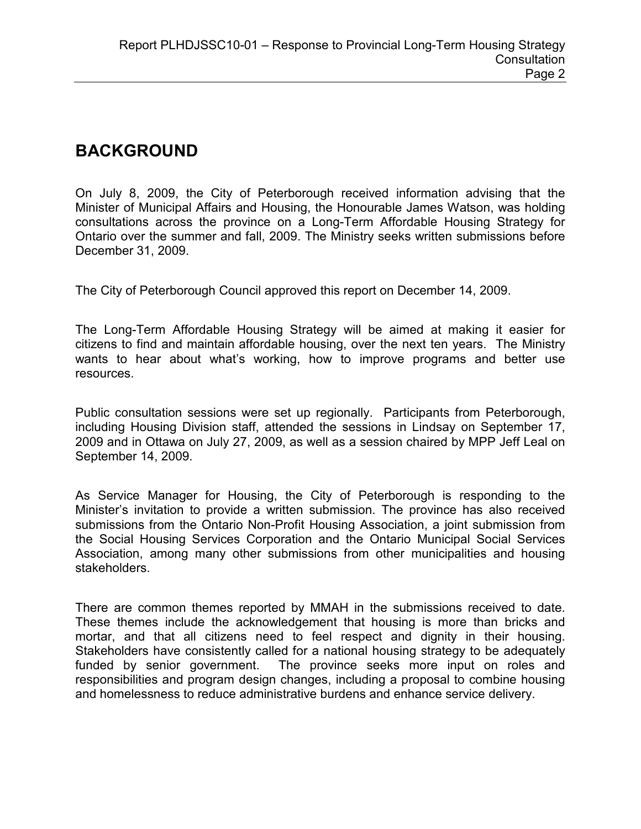# BACKGROUND

On July 8, 2009, the City of Peterborough received information advising that the Minister of Municipal Affairs and Housing, the Honourable James Watson, was holding consultations across the province on a Long-Term Affordable Housing Strategy for Ontario over the summer and fall, 2009. The Ministry seeks written submissions before December 31, 2009.

The City of Peterborough Council approved this report on December 14, 2009.

The Long-Term Affordable Housing Strategy will be aimed at making it easier for citizens to find and maintain affordable housing, over the next ten years. The Ministry wants to hear about what's working, how to improve programs and better use resources.

Public consultation sessions were set up regionally. Participants from Peterborough, including Housing Division staff, attended the sessions in Lindsay on September 17, 2009 and in Ottawa on July 27, 2009, as well as a session chaired by MPP Jeff Leal on September 14, 2009.

As Service Manager for Housing, the City of Peterborough is responding to the Minister's invitation to provide a written submission. The province has also received submissions from the Ontario Non-Profit Housing Association, a joint submission from the Social Housing Services Corporation and the Ontario Municipal Social Services Association, among many other submissions from other municipalities and housing stakeholders.

There are common themes reported by MMAH in the submissions received to date. These themes include the acknowledgement that housing is more than bricks and mortar, and that all citizens need to feel respect and dignity in their housing. Stakeholders have consistently called for a national housing strategy to be adequately funded by senior government. The province seeks more input on roles and responsibilities and program design changes, including a proposal to combine housing and homelessness to reduce administrative burdens and enhance service delivery.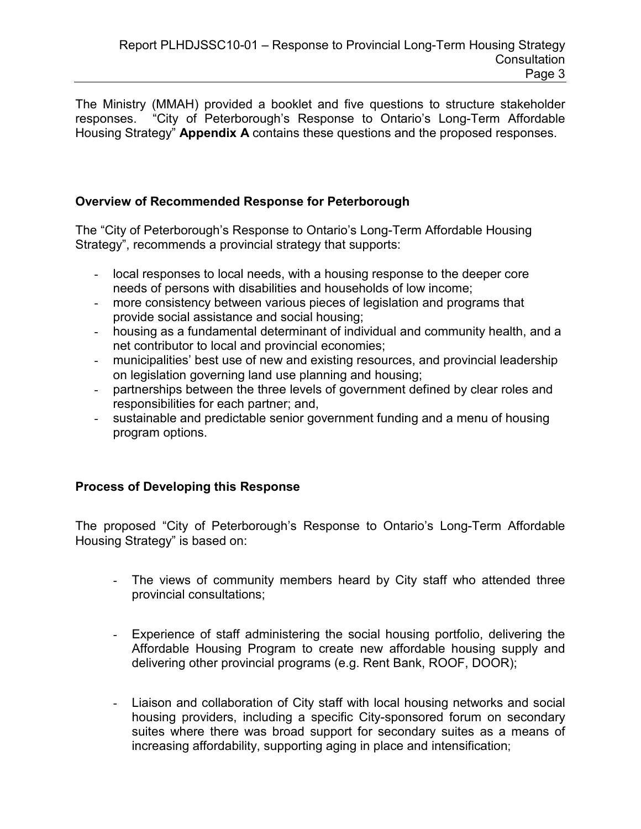The Ministry (MMAH) provided a booklet and five questions to structure stakeholder responses. "City of Peterborough's Response to Ontario's Long-Term Affordable Housing Strategy" Appendix A contains these questions and the proposed responses.

## Overview of Recommended Response for Peterborough

The "City of Peterborough's Response to Ontario's Long-Term Affordable Housing Strategy", recommends a provincial strategy that supports:

- local responses to local needs, with a housing response to the deeper core needs of persons with disabilities and households of low income;
- more consistency between various pieces of legislation and programs that provide social assistance and social housing;
- housing as a fundamental determinant of individual and community health, and a net contributor to local and provincial economies;
- municipalities' best use of new and existing resources, and provincial leadership on legislation governing land use planning and housing;
- partnerships between the three levels of government defined by clear roles and responsibilities for each partner; and,
- sustainable and predictable senior government funding and a menu of housing program options.

## Process of Developing this Response

The proposed "City of Peterborough's Response to Ontario's Long-Term Affordable Housing Strategy" is based on:

- The views of community members heard by City staff who attended three provincial consultations;
- Experience of staff administering the social housing portfolio, delivering the Affordable Housing Program to create new affordable housing supply and delivering other provincial programs (e.g. Rent Bank, ROOF, DOOR);
- Liaison and collaboration of City staff with local housing networks and social housing providers, including a specific City-sponsored forum on secondary suites where there was broad support for secondary suites as a means of increasing affordability, supporting aging in place and intensification;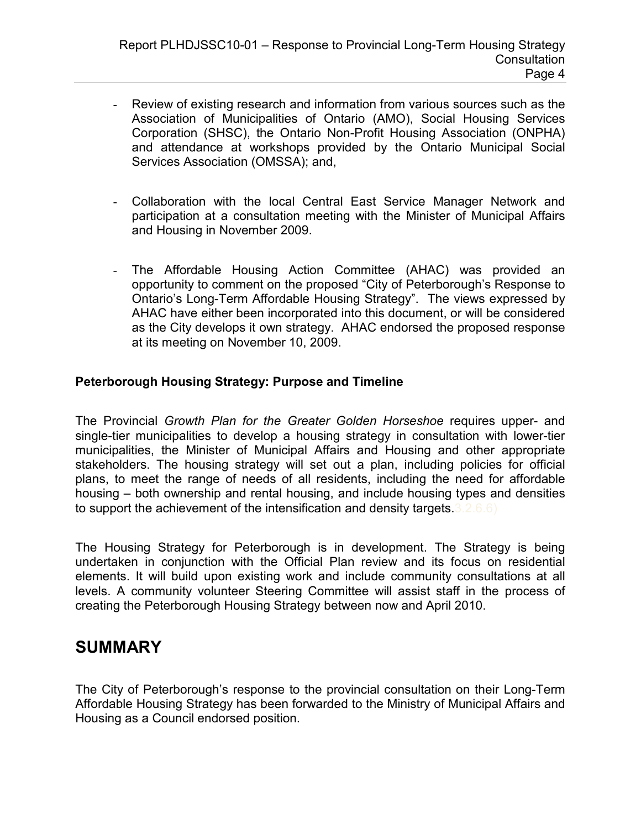- Review of existing research and information from various sources such as the Association of Municipalities of Ontario (AMO), Social Housing Services Corporation (SHSC), the Ontario Non-Profit Housing Association (ONPHA) and attendance at workshops provided by the Ontario Municipal Social Services Association (OMSSA); and,
- Collaboration with the local Central East Service Manager Network and participation at a consultation meeting with the Minister of Municipal Affairs and Housing in November 2009.
- The Affordable Housing Action Committee (AHAC) was provided an opportunity to comment on the proposed "City of Peterborough's Response to Ontario's Long-Term Affordable Housing Strategy". The views expressed by AHAC have either been incorporated into this document, or will be considered as the City develops it own strategy. AHAC endorsed the proposed response at its meeting on November 10, 2009.

## Peterborough Housing Strategy: Purpose and Timeline

The Provincial Growth Plan for the Greater Golden Horseshoe requires upper- and single-tier municipalities to develop a housing strategy in consultation with lower-tier municipalities, the Minister of Municipal Affairs and Housing and other appropriate stakeholders. The housing strategy will set out a plan, including policies for official plans, to meet the range of needs of all residents, including the need for affordable housing – both ownership and rental housing, and include housing types and densities to support the achievement of the intensification and density targets.3.2.6.6)

The Housing Strategy for Peterborough is in development. The Strategy is being undertaken in conjunction with the Official Plan review and its focus on residential elements. It will build upon existing work and include community consultations at all levels. A community volunteer Steering Committee will assist staff in the process of creating the Peterborough Housing Strategy between now and April 2010.

## SUMMARY

The City of Peterborough's response to the provincial consultation on their Long-Term Affordable Housing Strategy has been forwarded to the Ministry of Municipal Affairs and Housing as a Council endorsed position.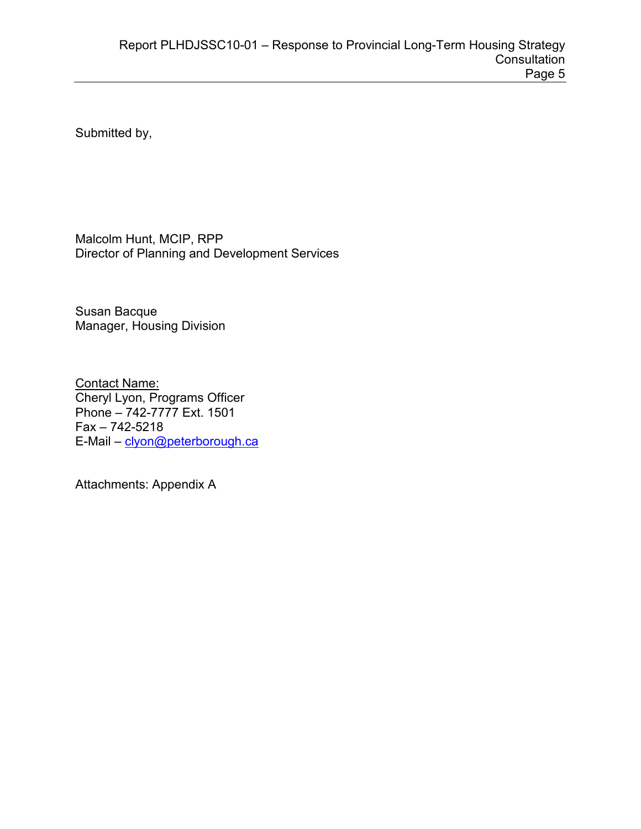Submitted by,

Malcolm Hunt, MCIP, RPP Director of Planning and Development Services

Susan Bacque Manager, Housing Division

Contact Name: Cheryl Lyon, Programs Officer Phone – 742-7777 Ext. 1501 Fax – 742-5218 E-Mail - [clyon@peterborough.ca](mailto:clyon@peterborough.ca)

Attachments: Appendix A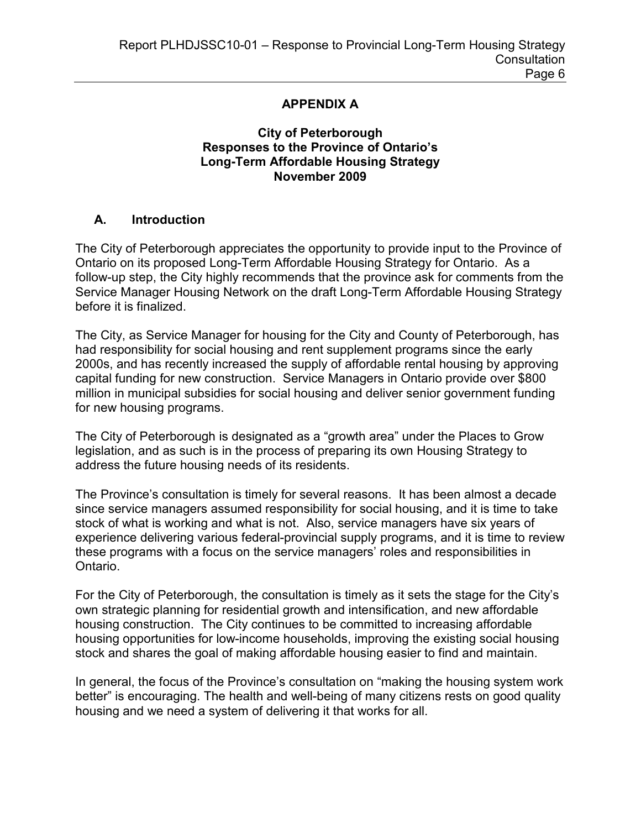#### APPENDIX A

### City of Peterborough Responses to the Province of Ontario's Long-Term Affordable Housing Strategy November 2009

### A. Introduction

The City of Peterborough appreciates the opportunity to provide input to the Province of Ontario on its proposed Long-Term Affordable Housing Strategy for Ontario. As a follow-up step, the City highly recommends that the province ask for comments from the Service Manager Housing Network on the draft Long-Term Affordable Housing Strategy before it is finalized.

The City, as Service Manager for housing for the City and County of Peterborough, has had responsibility for social housing and rent supplement programs since the early 2000s, and has recently increased the supply of affordable rental housing by approving capital funding for new construction. Service Managers in Ontario provide over \$800 million in municipal subsidies for social housing and deliver senior government funding for new housing programs.

The City of Peterborough is designated as a "growth area" under the Places to Grow legislation, and as such is in the process of preparing its own Housing Strategy to address the future housing needs of its residents.

The Province's consultation is timely for several reasons. It has been almost a decade since service managers assumed responsibility for social housing, and it is time to take stock of what is working and what is not. Also, service managers have six years of experience delivering various federal-provincial supply programs, and it is time to review these programs with a focus on the service managers' roles and responsibilities in Ontario.

For the City of Peterborough, the consultation is timely as it sets the stage for the City's own strategic planning for residential growth and intensification, and new affordable housing construction. The City continues to be committed to increasing affordable housing opportunities for low-income households, improving the existing social housing stock and shares the goal of making affordable housing easier to find and maintain.

In general, the focus of the Province's consultation on "making the housing system work better" is encouraging. The health and well-being of many citizens rests on good quality housing and we need a system of delivering it that works for all.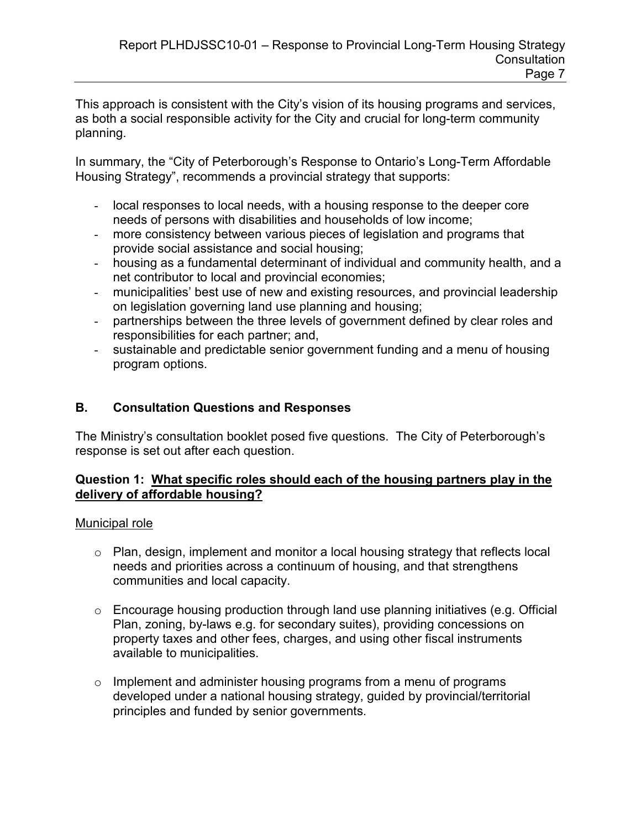This approach is consistent with the City's vision of its housing programs and services, as both a social responsible activity for the City and crucial for long-term community planning.

In summary, the "City of Peterborough's Response to Ontario's Long-Term Affordable Housing Strategy", recommends a provincial strategy that supports:

- local responses to local needs, with a housing response to the deeper core needs of persons with disabilities and households of low income;
- more consistency between various pieces of legislation and programs that provide social assistance and social housing;
- housing as a fundamental determinant of individual and community health, and a net contributor to local and provincial economies;
- municipalities' best use of new and existing resources, and provincial leadership on legislation governing land use planning and housing;
- partnerships between the three levels of government defined by clear roles and responsibilities for each partner; and,
- sustainable and predictable senior government funding and a menu of housing program options.

## B. Consultation Questions and Responses

The Ministry's consultation booklet posed five questions. The City of Peterborough's response is set out after each question.

## Question 1: What specific roles should each of the housing partners play in the delivery of affordable housing?

## Municipal role

- o Plan, design, implement and monitor a local housing strategy that reflects local needs and priorities across a continuum of housing, and that strengthens communities and local capacity.
- o Encourage housing production through land use planning initiatives (e.g. Official Plan, zoning, by-laws e.g. for secondary suites), providing concessions on property taxes and other fees, charges, and using other fiscal instruments available to municipalities.
- o Implement and administer housing programs from a menu of programs developed under a national housing strategy, guided by provincial/territorial principles and funded by senior governments.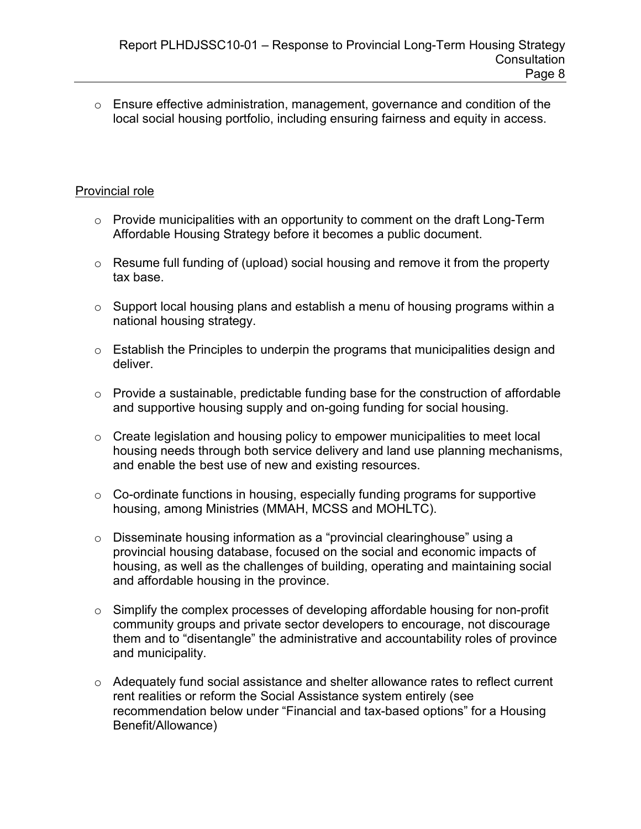o Ensure effective administration, management, governance and condition of the local social housing portfolio, including ensuring fairness and equity in access.

### Provincial role

- $\circ$  Provide municipalities with an opportunity to comment on the draft Long-Term Affordable Housing Strategy before it becomes a public document.
- o Resume full funding of (upload) social housing and remove it from the property tax base.
- $\circ$  Support local housing plans and establish a menu of housing programs within a national housing strategy.
- $\circ$  Establish the Principles to underpin the programs that municipalities design and deliver.
- $\circ$  Provide a sustainable, predictable funding base for the construction of affordable and supportive housing supply and on-going funding for social housing.
- $\circ$  Create legislation and housing policy to empower municipalities to meet local housing needs through both service delivery and land use planning mechanisms, and enable the best use of new and existing resources.
- $\circ$  Co-ordinate functions in housing, especially funding programs for supportive housing, among Ministries (MMAH, MCSS and MOHLTC).
- o Disseminate housing information as a "provincial clearinghouse" using a provincial housing database, focused on the social and economic impacts of housing, as well as the challenges of building, operating and maintaining social and affordable housing in the province.
- $\circ$  Simplify the complex processes of developing affordable housing for non-profit community groups and private sector developers to encourage, not discourage them and to "disentangle" the administrative and accountability roles of province and municipality.
- o Adequately fund social assistance and shelter allowance rates to reflect current rent realities or reform the Social Assistance system entirely (see recommendation below under "Financial and tax-based options" for a Housing Benefit/Allowance)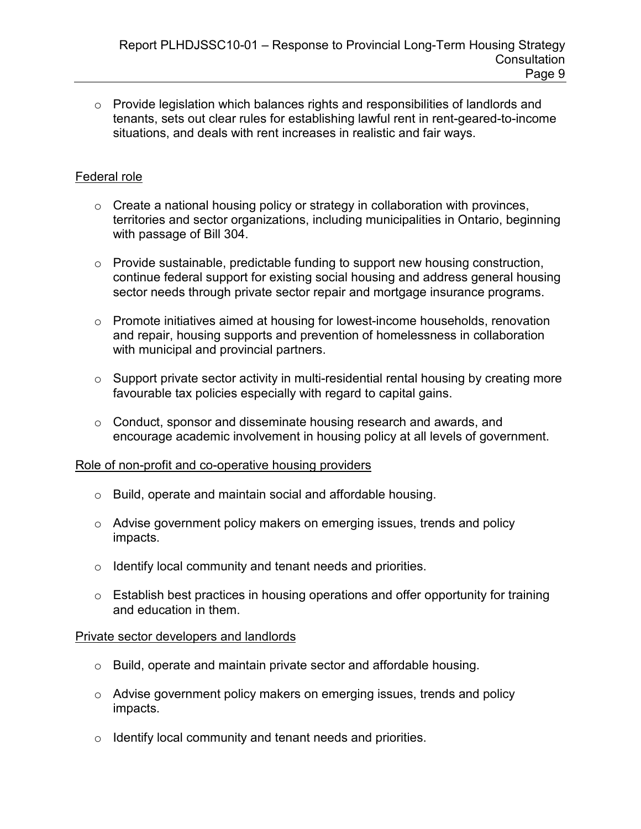o Provide legislation which balances rights and responsibilities of landlords and tenants, sets out clear rules for establishing lawful rent in rent-geared-to-income situations, and deals with rent increases in realistic and fair ways.

## Federal role

- $\circ$  Create a national housing policy or strategy in collaboration with provinces, territories and sector organizations, including municipalities in Ontario, beginning with passage of Bill 304.
- $\circ$  Provide sustainable, predictable funding to support new housing construction, continue federal support for existing social housing and address general housing sector needs through private sector repair and mortgage insurance programs.
- o Promote initiatives aimed at housing for lowest-income households, renovation and repair, housing supports and prevention of homelessness in collaboration with municipal and provincial partners.
- $\circ$  Support private sector activity in multi-residential rental housing by creating more favourable tax policies especially with regard to capital gains.
- o Conduct, sponsor and disseminate housing research and awards, and encourage academic involvement in housing policy at all levels of government.

### Role of non-profit and co-operative housing providers

- o Build, operate and maintain social and affordable housing.
- o Advise government policy makers on emerging issues, trends and policy impacts.
- o Identify local community and tenant needs and priorities.
- o Establish best practices in housing operations and offer opportunity for training and education in them.

### Private sector developers and landlords

- o Build, operate and maintain private sector and affordable housing.
- o Advise government policy makers on emerging issues, trends and policy impacts.
- o Identify local community and tenant needs and priorities.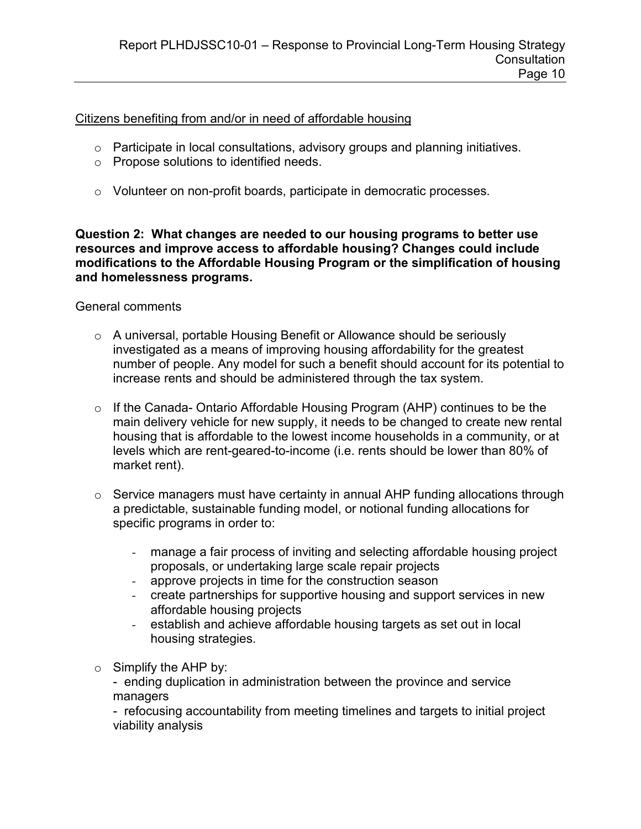Citizens benefiting from and/or in need of affordable housing

- $\circ$  Participate in local consultations, advisory groups and planning initiatives.
- o Propose solutions to identified needs.
- o Volunteer on non-profit boards, participate in democratic processes.

Question 2: What changes are needed to our housing programs to better use resources and improve access to affordable housing? Changes could include modifications to the Affordable Housing Program or the simplification of housing and homelessness programs.

### General comments

- o A universal, portable Housing Benefit or Allowance should be seriously investigated as a means of improving housing affordability for the greatest number of people. Any model for such a benefit should account for its potential to increase rents and should be administered through the tax system.
- $\circ$  If the Canada- Ontario Affordable Housing Program (AHP) continues to be the main delivery vehicle for new supply, it needs to be changed to create new rental housing that is affordable to the lowest income households in a community, or at levels which are rent-geared-to-income (i.e. rents should be lower than 80% of market rent).
- $\circ$  Service managers must have certainty in annual AHP funding allocations through a predictable, sustainable funding model, or notional funding allocations for specific programs in order to:
	- manage a fair process of inviting and selecting affordable housing project proposals, or undertaking large scale repair projects
	- approve projects in time for the construction season
	- create partnerships for supportive housing and support services in new affordable housing projects
	- establish and achieve affordable housing targets as set out in local housing strategies.
- $\circ$  Simplify the AHP by:

- ending duplication in administration between the province and service managers

- refocusing accountability from meeting timelines and targets to initial project viability analysis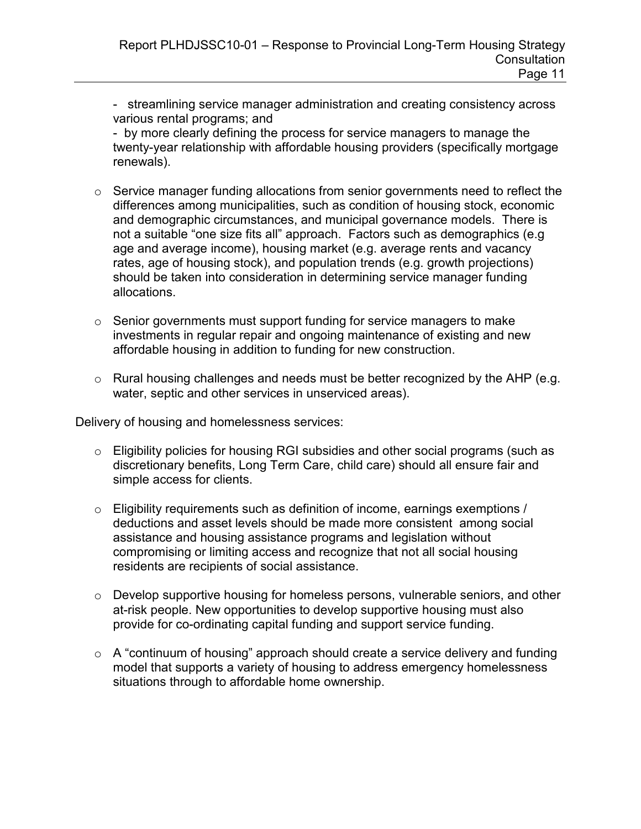- streamlining service manager administration and creating consistency across various rental programs; and

- by more clearly defining the process for service managers to manage the twenty-year relationship with affordable housing providers (specifically mortgage renewals).

- o Service manager funding allocations from senior governments need to reflect the differences among municipalities, such as condition of housing stock, economic and demographic circumstances, and municipal governance models. There is not a suitable "one size fits all" approach. Factors such as demographics (e.g age and average income), housing market (e.g. average rents and vacancy rates, age of housing stock), and population trends (e.g. growth projections) should be taken into consideration in determining service manager funding allocations.
- $\circ$  Senior governments must support funding for service managers to make investments in regular repair and ongoing maintenance of existing and new affordable housing in addition to funding for new construction.
- $\circ$  Rural housing challenges and needs must be better recognized by the AHP (e.g. water, septic and other services in unserviced areas).

Delivery of housing and homelessness services:

- o Eligibility policies for housing RGI subsidies and other social programs (such as discretionary benefits, Long Term Care, child care) should all ensure fair and simple access for clients.
- $\circ$  Eligibility requirements such as definition of income, earnings exemptions / deductions and asset levels should be made more consistent among social assistance and housing assistance programs and legislation without compromising or limiting access and recognize that not all social housing residents are recipients of social assistance.
- o Develop supportive housing for homeless persons, vulnerable seniors, and other at-risk people. New opportunities to develop supportive housing must also provide for co-ordinating capital funding and support service funding.
- $\circ$  A "continuum of housing" approach should create a service delivery and funding model that supports a variety of housing to address emergency homelessness situations through to affordable home ownership.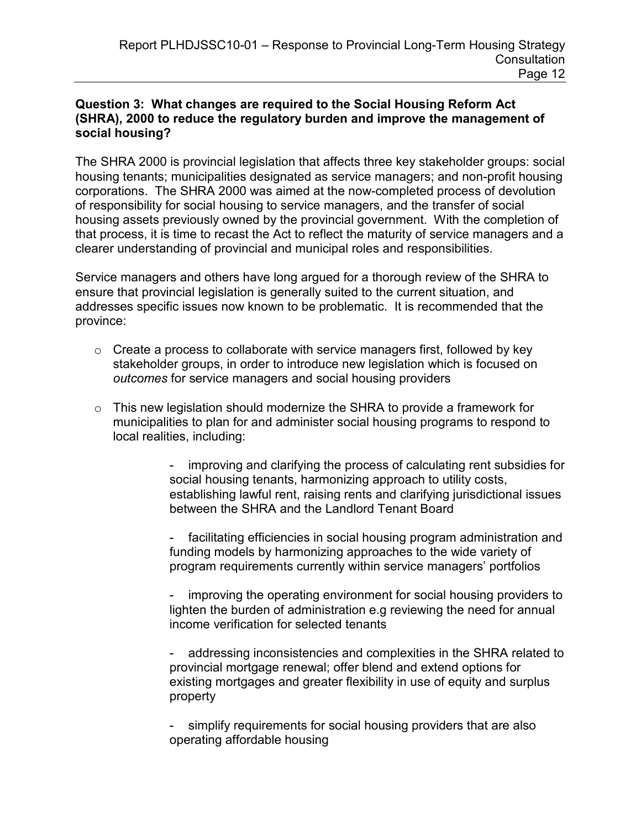### Question 3: What changes are required to the Social Housing Reform Act (SHRA), 2000 to reduce the regulatory burden and improve the management of social housing?

The SHRA 2000 is provincial legislation that affects three key stakeholder groups: social housing tenants; municipalities designated as service managers; and non-profit housing corporations. The SHRA 2000 was aimed at the now-completed process of devolution of responsibility for social housing to service managers, and the transfer of social housing assets previously owned by the provincial government. With the completion of that process, it is time to recast the Act to reflect the maturity of service managers and a clearer understanding of provincial and municipal roles and responsibilities.

Service managers and others have long argued for a thorough review of the SHRA to ensure that provincial legislation is generally suited to the current situation, and addresses specific issues now known to be problematic. It is recommended that the province:

- $\circ$  Create a process to collaborate with service managers first, followed by key stakeholder groups, in order to introduce new legislation which is focused on outcomes for service managers and social housing providers
- $\circ$  This new legislation should modernize the SHRA to provide a framework for municipalities to plan for and administer social housing programs to respond to local realities, including:

improving and clarifying the process of calculating rent subsidies for social housing tenants, harmonizing approach to utility costs, establishing lawful rent, raising rents and clarifying jurisdictional issues between the SHRA and the Landlord Tenant Board

- facilitating efficiencies in social housing program administration and funding models by harmonizing approaches to the wide variety of program requirements currently within service managers' portfolios

improving the operating environment for social housing providers to lighten the burden of administration e.g reviewing the need for annual income verification for selected tenants

addressing inconsistencies and complexities in the SHRA related to provincial mortgage renewal; offer blend and extend options for existing mortgages and greater flexibility in use of equity and surplus property

simplify requirements for social housing providers that are also operating affordable housing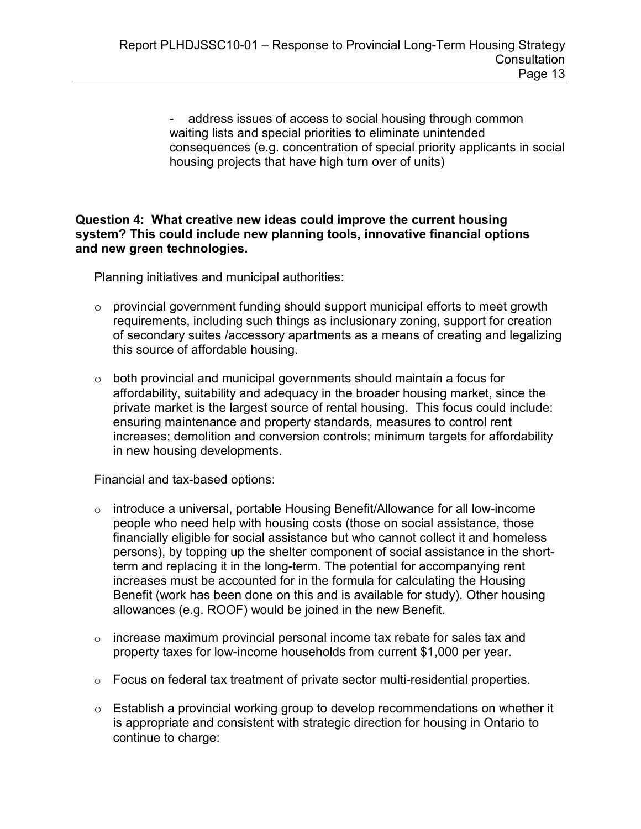- address issues of access to social housing through common waiting lists and special priorities to eliminate unintended consequences (e.g. concentration of special priority applicants in social housing projects that have high turn over of units)

### Question 4: What creative new ideas could improve the current housing system? This could include new planning tools, innovative financial options and new green technologies.

Planning initiatives and municipal authorities:

- o provincial government funding should support municipal efforts to meet growth requirements, including such things as inclusionary zoning, support for creation of secondary suites /accessory apartments as a means of creating and legalizing this source of affordable housing.
- $\circ$  both provincial and municipal governments should maintain a focus for affordability, suitability and adequacy in the broader housing market, since the private market is the largest source of rental housing. This focus could include: ensuring maintenance and property standards, measures to control rent increases; demolition and conversion controls; minimum targets for affordability in new housing developments.

Financial and tax-based options:

- o introduce a universal, portable Housing Benefit/Allowance for all low-income people who need help with housing costs (those on social assistance, those financially eligible for social assistance but who cannot collect it and homeless persons), by topping up the shelter component of social assistance in the shortterm and replacing it in the long-term. The potential for accompanying rent increases must be accounted for in the formula for calculating the Housing Benefit (work has been done on this and is available for study). Other housing allowances (e.g. ROOF) would be joined in the new Benefit.
- $\circ$  increase maximum provincial personal income tax rebate for sales tax and property taxes for low-income households from current \$1,000 per year.
- o Focus on federal tax treatment of private sector multi-residential properties.
- o Establish a provincial working group to develop recommendations on whether it is appropriate and consistent with strategic direction for housing in Ontario to continue to charge: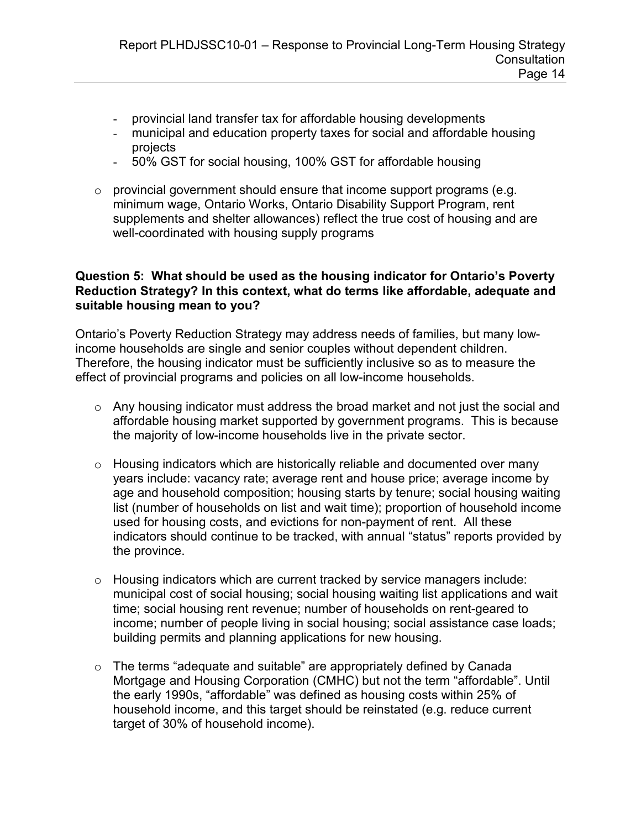- provincial land transfer tax for affordable housing developments
- municipal and education property taxes for social and affordable housing projects
- 50% GST for social housing, 100% GST for affordable housing
- o provincial government should ensure that income support programs (e.g. minimum wage, Ontario Works, Ontario Disability Support Program, rent supplements and shelter allowances) reflect the true cost of housing and are well-coordinated with housing supply programs

### Question 5: What should be used as the housing indicator for Ontario's Poverty Reduction Strategy? In this context, what do terms like affordable, adequate and suitable housing mean to you?

Ontario's Poverty Reduction Strategy may address needs of families, but many lowincome households are single and senior couples without dependent children. Therefore, the housing indicator must be sufficiently inclusive so as to measure the effect of provincial programs and policies on all low-income households.

- o Any housing indicator must address the broad market and not just the social and affordable housing market supported by government programs. This is because the majority of low-income households live in the private sector.
- $\circ$  Housing indicators which are historically reliable and documented over many years include: vacancy rate; average rent and house price; average income by age and household composition; housing starts by tenure; social housing waiting list (number of households on list and wait time); proportion of household income used for housing costs, and evictions for non-payment of rent. All these indicators should continue to be tracked, with annual "status" reports provided by the province.
- $\circ$  Housing indicators which are current tracked by service managers include: municipal cost of social housing; social housing waiting list applications and wait time; social housing rent revenue; number of households on rent-geared to income; number of people living in social housing; social assistance case loads; building permits and planning applications for new housing.
- $\circ$  The terms "adequate and suitable" are appropriately defined by Canada Mortgage and Housing Corporation (CMHC) but not the term "affordable". Until the early 1990s, "affordable" was defined as housing costs within 25% of household income, and this target should be reinstated (e.g. reduce current target of 30% of household income).